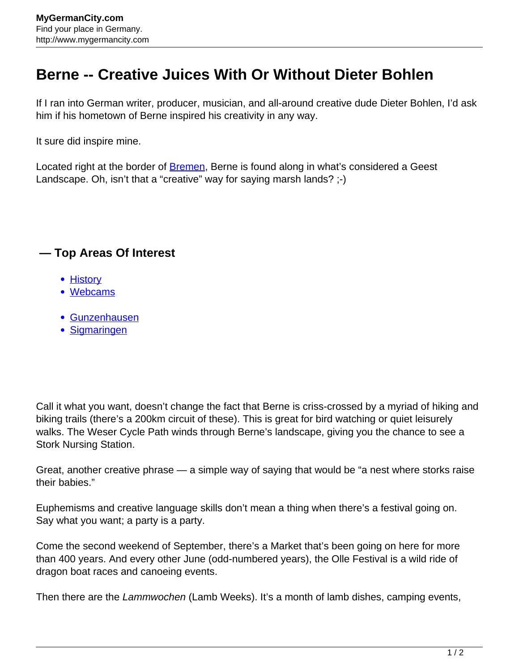## **Berne -- Creative Juices With Or Without Dieter Bohlen**

If I ran into German writer, producer, musician, and all-around creative dude Dieter Bohlen, I'd ask him if his hometown of Berne inspired his creativity in any way.

It sure did inspire mine.

Located right at the border of **Bremen**, Berne is found along in what's considered a Geest Landscape. Oh, isn't that a "creative" way for saying marsh lands? ;-)

## **— Top Areas Of Interest**

- [History](http://www.mygermancity.com/leipzig-history)
- [Webcams](http://www.mygermancity.com/neustadt-holstein-webcams)
- [Gunzenhausen](http://www.mygermancity.com/gunzenhausen)
- [Sigmaringen](http://www.mygermancity.com/sigmaringen)

Call it what you want, doesn't change the fact that Berne is criss-crossed by a myriad of hiking and biking trails (there's a 200km circuit of these). This is great for bird watching or quiet leisurely walks. The Weser Cycle Path winds through Berne's landscape, giving you the chance to see a Stork Nursing Station.

Great, another creative phrase — a simple way of saying that would be "a nest where storks raise their babies."

Euphemisms and creative language skills don't mean a thing when there's a festival going on. Say what you want; a party is a party.

Come the second weekend of September, there's a Market that's been going on here for more than 400 years. And every other June (odd-numbered years), the Olle Festival is a wild ride of dragon boat races and canoeing events.

Then there are the Lammwochen (Lamb Weeks). It's a month of lamb dishes, camping events,